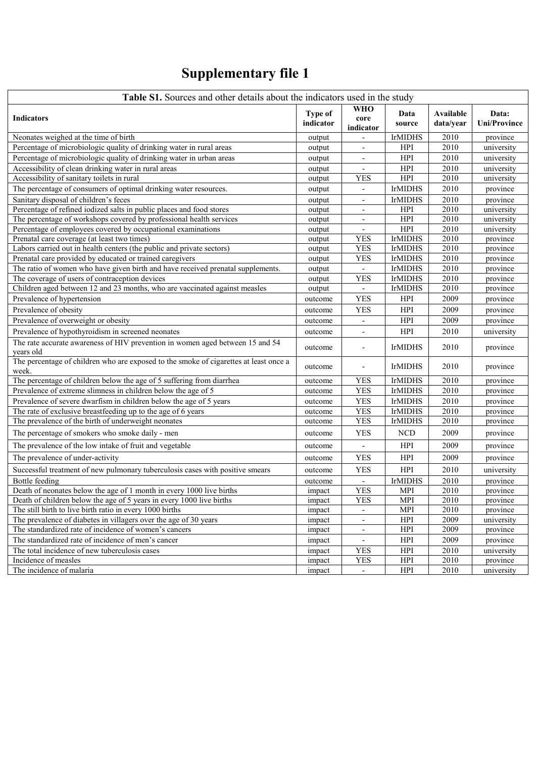## **Supplementary file 1**

| Table S1. Sources and other details about the indicators used in the study                     |                      |                          |                |                        |                              |  |  |  |  |
|------------------------------------------------------------------------------------------------|----------------------|--------------------------|----------------|------------------------|------------------------------|--|--|--|--|
| <b>Indicators</b>                                                                              | Type of<br>indicator | WHO<br>core<br>indicator | Data<br>source | Available<br>data/year | Data:<br><b>Uni/Province</b> |  |  |  |  |
| Neonates weighed at the time of birth                                                          | output               |                          | <b>IrMIDHS</b> | 2010                   | province                     |  |  |  |  |
| Percentage of microbiologic quality of drinking water in rural areas                           | output               | $\overline{\phantom{a}}$ | <b>HPI</b>     | 2010                   | university                   |  |  |  |  |
| Percentage of microbiologic quality of drinking water in urban areas                           | output               | $\overline{\phantom{a}}$ | HPI            | 2010                   | university                   |  |  |  |  |
| Accessibility of clean drinking water in rural areas                                           | output               |                          | HPI            | 2010                   | university                   |  |  |  |  |
| Accessibility of sanitary toilets in rural                                                     | output               | <b>YES</b>               | HPI            | 2010                   | university                   |  |  |  |  |
| The percentage of consumers of optimal drinking water resources.                               | output               | $\overline{\phantom{a}}$ | <b>IrMIDHS</b> | 2010                   | province                     |  |  |  |  |
| Sanitary disposal of children's feces                                                          | output               | $\mathbf{r}$             | <b>IrMIDHS</b> | 2010                   | province                     |  |  |  |  |
| Percentage of refined iodized salts in public places and food stores                           | output               | $\overline{\phantom{a}}$ | HPI            | 2010                   | university                   |  |  |  |  |
| The percentage of workshops covered by professional health services                            | output               | $\overline{\phantom{a}}$ | HPI            | 2010                   | university                   |  |  |  |  |
| Percentage of employees covered by occupational examinations                                   | output               | $\overline{\phantom{a}}$ | HPI            | 2010                   | university                   |  |  |  |  |
| Prenatal care coverage (at least two times)                                                    | output               | <b>YES</b>               | <b>IrMIDHS</b> | 2010                   | province                     |  |  |  |  |
| Labors carried out in health centers (the public and private sectors)                          | output               | <b>YES</b>               | <b>IrMIDHS</b> | 2010                   | province                     |  |  |  |  |
| Prenatal care provided by educated or trained caregivers                                       | output               | <b>YES</b>               | <b>IrMIDHS</b> | 2010                   | province                     |  |  |  |  |
| The ratio of women who have given birth and have received prenatal supplements.                | output               |                          | <b>IrMIDHS</b> | 2010                   | province                     |  |  |  |  |
| The coverage of users of contraception devices                                                 | output               | <b>YES</b>               | <b>IrMIDHS</b> | 2010                   | province                     |  |  |  |  |
| Children aged between 12 and 23 months, who are vaccinated against measles                     | output               | $\blacksquare$           | <b>IrMIDHS</b> | 2010                   | province                     |  |  |  |  |
| Prevalence of hypertension                                                                     | outcome              | <b>YES</b>               | HPI            | 2009                   | province                     |  |  |  |  |
| Prevalence of obesity                                                                          | outcome              | YES                      | HPI            | 2009                   | province                     |  |  |  |  |
| Prevalence of overweight or obesity                                                            | outcome              | $\overline{\phantom{a}}$ | HPI            | 2009                   | province                     |  |  |  |  |
| Prevalence of hypothyroidism in screened neonates                                              | outcome              |                          | HPI            | 2010                   | university                   |  |  |  |  |
| The rate accurate awareness of HIV prevention in women aged between 15 and 54<br>years old     | outcome              | $\overline{\phantom{a}}$ | <b>IrMIDHS</b> | 2010                   | province                     |  |  |  |  |
| The percentage of children who are exposed to the smoke of cigarettes at least once a<br>week. | outcome              | $\overline{\phantom{a}}$ | <b>IrMIDHS</b> | 2010                   | province                     |  |  |  |  |
| The percentage of children below the age of 5 suffering from diarrhea                          | outcome              | <b>YES</b>               | <b>IrMIDHS</b> | 2010                   | province                     |  |  |  |  |
| Prevalence of extreme slimness in children below the age of 5                                  | outcome              | <b>YES</b>               | <b>IrMIDHS</b> | 2010                   | province                     |  |  |  |  |
| Prevalence of severe dwarfism in children below the age of 5 years                             | outcome              | <b>YES</b>               | <b>IrMIDHS</b> | 2010                   | province                     |  |  |  |  |
| The rate of exclusive breastfeeding up to the age of 6 years                                   | outcome              | <b>YES</b>               | <b>IrMIDHS</b> | 2010                   | province                     |  |  |  |  |
| The prevalence of the birth of underweight neonates                                            | outcome              | <b>YES</b>               | <b>IrMIDHS</b> | 2010                   | province                     |  |  |  |  |
| The percentage of smokers who smoke daily - men                                                | outcome              | <b>YES</b>               | <b>NCD</b>     | 2009                   | province                     |  |  |  |  |
| The prevalence of the low intake of fruit and vegetable                                        | outcome              | $\overline{\phantom{a}}$ | <b>HPI</b>     | 2009                   | province                     |  |  |  |  |
| The prevalence of under-activity                                                               | outcome              | <b>YES</b>               | HPI            | 2009                   | province                     |  |  |  |  |
| Successful treatment of new pulmonary tuberculosis cases with positive smears                  | outcome              | <b>YES</b>               | <b>HPI</b>     | 2010                   | university                   |  |  |  |  |
| Bottle feeding                                                                                 | outcome              |                          | <b>IrMIDHS</b> | 2010                   | province                     |  |  |  |  |
| Death of neonates below the age of 1 month in every 1000 live births                           | impact               | <b>YES</b>               | <b>MPI</b>     | 2010                   | province                     |  |  |  |  |
| Death of children below the age of 5 years in every 1000 live births                           | impact               | <b>YES</b>               | MPI            | 2010                   | province                     |  |  |  |  |
| The still birth to live birth ratio in every 1000 births                                       | impact               |                          | MPI            | 2010                   | province                     |  |  |  |  |
| The prevalence of diabetes in villagers over the age of 30 years                               | impact               | $\overline{\phantom{a}}$ | HPI            | 2009                   | university                   |  |  |  |  |
| The standardized rate of incidence of women's cancers                                          | impact               |                          | HPI            | 2009                   | province                     |  |  |  |  |
| The standardized rate of incidence of men's cancer                                             | impact               | $\overline{\phantom{a}}$ | HPI            | 2009                   | province                     |  |  |  |  |
| The total incidence of new tuberculosis cases                                                  | impact               | YES                      | <b>HPI</b>     | 2010                   | university                   |  |  |  |  |
| Incidence of measles                                                                           | impact               | YES                      | HPI            | 2010                   | province                     |  |  |  |  |
| The incidence of malaria                                                                       | impact               | $\overline{\phantom{a}}$ | HPI            | 2010                   | university                   |  |  |  |  |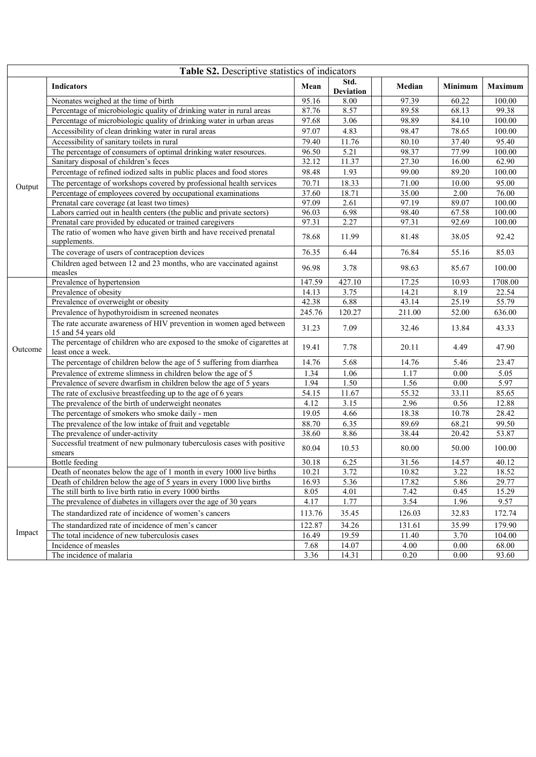| Table S2. Descriptive statistics of indicators |                                                                                                |        |                          |  |        |                |                |  |  |
|------------------------------------------------|------------------------------------------------------------------------------------------------|--------|--------------------------|--|--------|----------------|----------------|--|--|
|                                                | <b>Indicators</b>                                                                              | Mean   | Std.<br><b>Deviation</b> |  | Median | <b>Minimum</b> | <b>Maximum</b> |  |  |
|                                                | Neonates weighed at the time of birth                                                          | 95.16  | 8.00                     |  | 97.39  | 60.22          | 100.00         |  |  |
|                                                | Percentage of microbiologic quality of drinking water in rural areas                           | 87.76  | 8.57                     |  | 89.58  | 68.13          | 99.38          |  |  |
|                                                | Percentage of microbiologic quality of drinking water in urban areas                           | 97.68  | 3.06                     |  | 98.89  | 84.10          | 100.00         |  |  |
|                                                | Accessibility of clean drinking water in rural areas                                           | 97.07  | 4.83                     |  | 98.47  | 78.65          | 100.00         |  |  |
|                                                | Accessibility of sanitary toilets in rural                                                     | 79.40  | 11.76                    |  | 80.10  | 37.40          | 95.40          |  |  |
|                                                | The percentage of consumers of optimal drinking water resources.                               | 96.50  | 5.21                     |  | 98.37  | 77.99          | 100.00         |  |  |
|                                                | Sanitary disposal of children's feces                                                          | 32.12  | 11.37                    |  | 27.30  | 16.00          | 62.90          |  |  |
|                                                | Percentage of refined iodized salts in public places and food stores                           | 98.48  | 1.93                     |  | 99.00  | 89.20          | 100.00         |  |  |
| Output                                         | The percentage of workshops covered by professional health services                            | 70.71  | 18.33                    |  | 71.00  | 10.00          | 95.00          |  |  |
|                                                | Percentage of employees covered by occupational examinations                                   | 37.60  | 18.71                    |  | 35.00  | 2.00           | 76.00          |  |  |
|                                                | Prenatal care coverage (at least two times)                                                    | 97.09  | 2.61                     |  | 97.19  | 89.07          | 100.00         |  |  |
|                                                | Labors carried out in health centers (the public and private sectors)                          | 96.03  | 6.98                     |  | 98.40  | 67.58          | 100.00         |  |  |
|                                                | Prenatal care provided by educated or trained caregivers                                       | 97.31  | 2.27                     |  | 97.31  | 92.69          | 100.00         |  |  |
|                                                | The ratio of women who have given birth and have received prenatal<br>supplements.             | 78.68  | 11.99                    |  | 81.48  | 38.05          | 92.42          |  |  |
|                                                | The coverage of users of contraception devices                                                 | 76.35  | 6.44                     |  | 76.84  | 55.16          | 85.03          |  |  |
|                                                | Children aged between 12 and 23 months, who are vaccinated against<br>measles                  | 96.98  | 3.78                     |  | 98.63  | 85.67          | 100.00         |  |  |
|                                                | Prevalence of hypertension                                                                     | 147.59 | 427.10                   |  | 17.25  | 10.93          | 1708.00        |  |  |
|                                                | Prevalence of obesity                                                                          | 14.13  | 3.75                     |  | 14.21  | 8.19           | 22.54          |  |  |
|                                                | Prevalence of overweight or obesity                                                            | 42.38  | 6.88                     |  | 43.14  | 25.19          | 55.79          |  |  |
|                                                | Prevalence of hypothyroidism in screened neonates                                              | 245.76 | 120.27                   |  | 211.00 | 52.00          | 636.00         |  |  |
|                                                | The rate accurate awareness of HIV prevention in women aged between<br>15 and 54 years old     | 31.23  | 7.09                     |  | 32.46  | 13.84          | 43.33          |  |  |
| Outcome                                        | The percentage of children who are exposed to the smoke of cigarettes at<br>least once a week. | 19.41  | 7.78                     |  | 20.11  | 4.49           | 47.90          |  |  |
|                                                | The percentage of children below the age of 5 suffering from diarrhea                          | 14.76  | 5.68                     |  | 14.76  | 5.46           | 23.47          |  |  |
|                                                | Prevalence of extreme slimness in children below the age of 5                                  | 1.34   | 1.06                     |  | 1.17   | 0.00           | 5.05           |  |  |
|                                                | Prevalence of severe dwarfism in children below the age of 5 years                             | 1.94   | 1.50                     |  | 1.56   | 0.00           | 5.97           |  |  |
|                                                | The rate of exclusive breastfeeding up to the age of 6 years                                   | 54.15  | 11.67                    |  | 55.32  | 33.11          | 85.65          |  |  |
|                                                | The prevalence of the birth of underweight neonates                                            | 4.12   | 3.15                     |  | 2.96   | 0.56           | 12.88          |  |  |
|                                                | The percentage of smokers who smoke daily - men                                                | 19.05  | 4.66                     |  | 18.38  | 10.78          | 28.42          |  |  |
|                                                | The prevalence of the low intake of fruit and vegetable                                        | 88.70  | 6.35                     |  | 89.69  | 68.21          | 99.50          |  |  |
|                                                | The prevalence of under-activity                                                               | 38.60  | 8.86                     |  | 38.44  | 20.42          | 53.87          |  |  |
|                                                | Successful treatment of new pulmonary tuberculosis cases with positive<br>smears               | 80.04  | 10.53                    |  | 80.00  | 50.00          | 100.00         |  |  |
|                                                | Bottle feeding                                                                                 | 30.18  | 6.25                     |  | 31.56  | 14.57          | 40.12          |  |  |
|                                                | Death of neonates below the age of 1 month in every 1000 live births                           | 10.21  | 3.72                     |  | 10.82  | 3.22           | 18.52          |  |  |
|                                                | Death of children below the age of 5 years in every 1000 live births                           | 16.93  | 5.36                     |  | 17.82  | 5.86           | 29.77          |  |  |
|                                                | The still birth to live birth ratio in every 1000 births                                       | 8.05   | 4.01                     |  | 7.42   | 0.45           | 15.29          |  |  |
|                                                | The prevalence of diabetes in villagers over the age of 30 years                               | 4.17   | 1.77                     |  | 3.54   | 1.96           | 9.57           |  |  |
|                                                | The standardized rate of incidence of women's cancers                                          | 113.76 | 35.45                    |  | 126.03 | 32.83          | 172.74         |  |  |
| Impact                                         | The standardized rate of incidence of men's cancer                                             | 122.87 | 34.26                    |  | 131.61 | 35.99          | 179.90         |  |  |
|                                                | The total incidence of new tuberculosis cases                                                  | 16.49  | 19.59                    |  | 11.40  | 3.70           | 104.00         |  |  |
|                                                | Incidence of measles                                                                           | 7.68   | 14.07                    |  | 4.00   | $0.00\,$       | 68.00          |  |  |
|                                                | The incidence of malaria                                                                       | 3.36   | 14.31                    |  | 0.20   | 0.00           | 93.60          |  |  |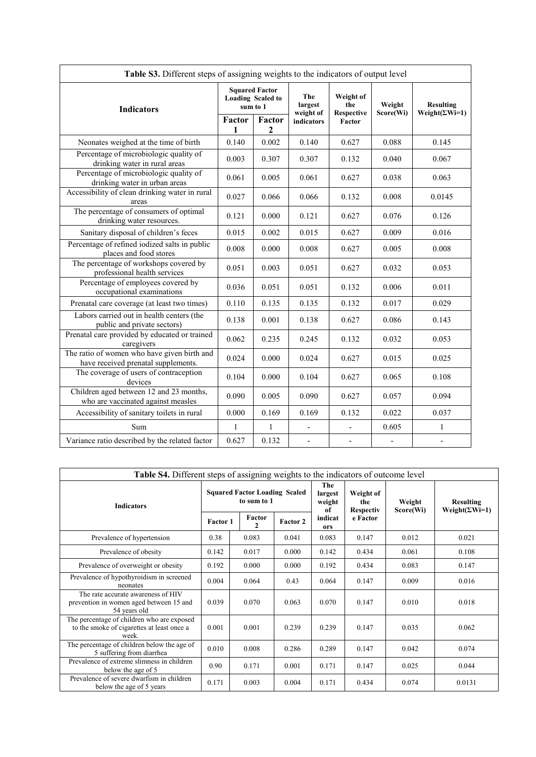| Table S3. Different steps of assigning weights to the indicators of output level   |                                                               |              |                             |                                       |                          |                          |  |
|------------------------------------------------------------------------------------|---------------------------------------------------------------|--------------|-----------------------------|---------------------------------------|--------------------------|--------------------------|--|
| <b>Indicators</b>                                                                  | <b>Squared Factor</b><br><b>Loading Scaled to</b><br>sum to 1 |              | The<br>largest<br>weight of | Weight of<br>the<br><b>Respective</b> | Weight                   | <b>Resulting</b>         |  |
|                                                                                    | Factor<br>1                                                   | Factor<br>2  | indicators                  | Factor                                | Score(Wi)                | Weight( $\Sigma$ Wi=1)   |  |
| Neonates weighed at the time of birth                                              | 0.140                                                         | 0.002        | 0.140                       | 0.627                                 | 0.088                    | 0.145                    |  |
| Percentage of microbiologic quality of<br>drinking water in rural areas            | 0.003                                                         | 0.307        | 0.307                       | 0.132                                 | 0.040                    | 0.067                    |  |
| Percentage of microbiologic quality of<br>drinking water in urban areas            | 0.061                                                         | 0.005        | 0.061                       | 0.627                                 | 0.038                    | 0.063                    |  |
| Accessibility of clean drinking water in rural<br>areas                            | 0.027                                                         | 0.066        | 0.066                       | 0.132                                 | 0.008                    | 0.0145                   |  |
| The percentage of consumers of optimal<br>drinking water resources.                | 0.121                                                         | 0.000        | 0.121                       | 0.627                                 | 0.076                    | 0.126                    |  |
| Sanitary disposal of children's feces                                              | 0.015                                                         | 0.002        | 0.015                       | 0.627                                 | 0.009                    | 0.016                    |  |
| Percentage of refined iodized salts in public<br>places and food stores            | 0.008                                                         | 0.000        | 0.008                       | 0.627                                 | 0.005                    | 0.008                    |  |
| The percentage of workshops covered by<br>professional health services             | 0.051                                                         | 0.003        | 0.051                       | 0.627                                 | 0.032                    | 0.053                    |  |
| Percentage of employees covered by<br>occupational examinations                    | 0.036                                                         | 0.051        | 0.051                       | 0.132                                 | 0.006                    | 0.011                    |  |
| Prenatal care coverage (at least two times)                                        | 0.110                                                         | 0.135        | 0.135                       | 0.132                                 | 0.017                    | 0.029                    |  |
| Labors carried out in health centers (the<br>public and private sectors)           | 0.138                                                         | 0.001        | 0.138                       | 0.627                                 | 0.086                    | 0.143                    |  |
| Prenatal care provided by educated or trained<br>caregivers                        | 0.062                                                         | 0.235        | 0.245                       | 0.132                                 | 0.032                    | 0.053                    |  |
| The ratio of women who have given birth and<br>have received prenatal supplements. | 0.024                                                         | 0.000        | 0.024                       | 0.627                                 | 0.015                    | 0.025                    |  |
| The coverage of users of contraception<br>devices                                  | 0.104                                                         | 0.000        | 0.104                       | 0.627                                 | 0.065                    | 0.108                    |  |
| Children aged between 12 and 23 months,<br>who are vaccinated against measles      | 0.090                                                         | 0.005        | 0.090                       | 0.627                                 | 0.057                    | 0.094                    |  |
| Accessibility of sanitary toilets in rural                                         | 0.000                                                         | 0.169        | 0.169                       | 0.132                                 | 0.022                    | 0.037                    |  |
| Sum                                                                                | $\mathbf{1}$                                                  | $\mathbf{1}$ |                             |                                       | 0.605                    | $\mathbf{1}$             |  |
| Variance ratio described by the related factor                                     | 0.627                                                         | 0.132        | $\overline{\phantom{a}}$    |                                       | $\overline{\phantom{a}}$ | $\overline{\phantom{a}}$ |  |

| <b>Table S4.</b> Different steps of assigning weights to the indicators of outcome level          |                                                     |                        |          |                                |                                      |                     |                                           |  |  |
|---------------------------------------------------------------------------------------------------|-----------------------------------------------------|------------------------|----------|--------------------------------|--------------------------------------|---------------------|-------------------------------------------|--|--|
| <b>Indicators</b>                                                                                 | <b>Squared Factor Loading Scaled</b><br>to sum to 1 |                        |          | The<br>largest<br>weight<br>оf | Weight of<br>the<br><b>Respectiv</b> | Weight<br>Score(Wi) | <b>Resulting</b><br>$Weight(\Sigma Wi=1)$ |  |  |
|                                                                                                   | <b>Factor 1</b>                                     | Factor<br>$\mathbf{2}$ | Factor 2 | indicat<br>ors                 | e Factor                             |                     |                                           |  |  |
| Prevalence of hypertension                                                                        | 0.38                                                | 0.083                  | 0.041    | 0.083                          | 0.147                                | 0.012               | 0.021                                     |  |  |
| Prevalence of obesity                                                                             | 0.142                                               | 0.017                  | 0.000    | 0.142                          | 0.434                                | 0.061               | 0.108                                     |  |  |
| Prevalence of overweight or obesity                                                               | 0.192                                               | 0.000                  | 0.000    | 0.192                          | 0.434                                | 0.083               | 0.147                                     |  |  |
| Prevalence of hypothyroidism in screened<br>neonates                                              | 0.004                                               | 0.064                  | 0.43     | 0.064                          | 0.147                                | 0.009               | 0.016                                     |  |  |
| The rate accurate awareness of HIV<br>prevention in women aged between 15 and<br>54 years old     | 0.039                                               | 0.070                  | 0.063    | 0.070                          | 0.147                                | 0.010               | 0.018                                     |  |  |
| The percentage of children who are exposed<br>to the smoke of cigarettes at least once a<br>week. | 0.001                                               | 0.001                  | 0.239    | 0.239                          | 0.147                                | 0.035               | 0.062                                     |  |  |
| The percentage of children below the age of<br>5 suffering from diarrhea                          | 0.010                                               | 0.008                  | 0.286    | 0.289                          | 0.147                                | 0.042               | 0.074                                     |  |  |
| Prevalence of extreme slimness in children<br>below the age of 5                                  | 0.90                                                | 0.171                  | 0.001    | 0.171                          | 0.147                                | 0.025               | 0.044                                     |  |  |
| Prevalence of severe dwarfism in children<br>below the age of 5 years                             | 0.171                                               | 0.003                  | 0.004    | 0.171                          | 0.434                                | 0.074               | 0.0131                                    |  |  |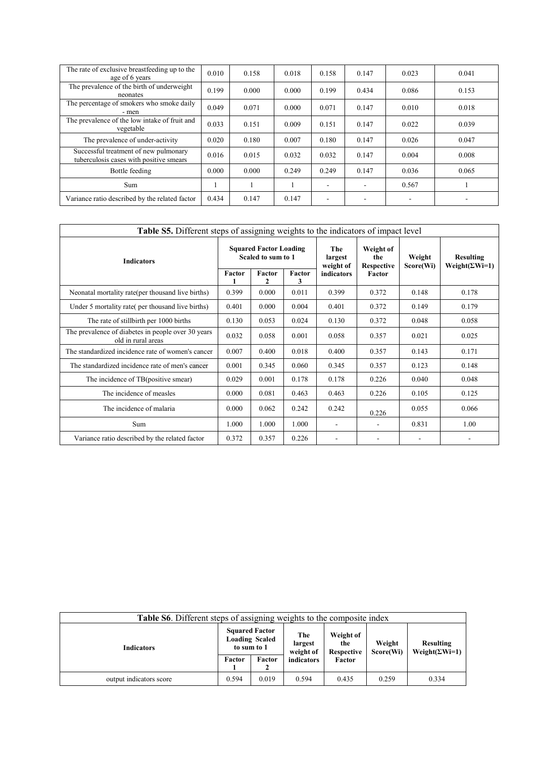| The rate of exclusive breastfeeding up to the<br>age of 6 years                  | 0.010 | 0.158 | 0.018 | 0.158          | 0.147 | 0.023                    | 0.041 |
|----------------------------------------------------------------------------------|-------|-------|-------|----------------|-------|--------------------------|-------|
| The prevalence of the birth of underweight<br>neonates                           | 0.199 | 0.000 | 0.000 | 0.199          | 0.434 | 0.086                    | 0.153 |
| The percentage of smokers who smoke daily<br>- men                               | 0.049 | 0.071 | 0.000 | 0.071          | 0.147 | 0.010                    | 0.018 |
| The prevalence of the low intake of fruit and<br>vegetable                       | 0.033 | 0.151 | 0.009 | 0.151          | 0.147 | 0.022                    | 0.039 |
| The prevalence of under-activity                                                 | 0.020 | 0.180 | 0.007 | 0.180          | 0.147 | 0.026                    | 0.047 |
| Successful treatment of new pulmonary<br>tuberculosis cases with positive smears | 0.016 | 0.015 | 0.032 | 0.032          | 0.147 | 0.004                    | 0.008 |
| Bottle feeding                                                                   | 0.000 | 0.000 | 0.249 | 0.249          | 0.147 | 0.036                    | 0.065 |
| Sum                                                                              |       |       |       | $\blacksquare$ |       | 0.567                    |       |
| Variance ratio described by the related factor                                   | 0.434 | 0.147 | 0.147 | $\blacksquare$ |       | $\overline{\phantom{a}}$ |       |

| Table S5. Different steps of assigning weights to the indicators of impact level |        |                                                               |        |                                                  |                                                 |                     |                                           |  |  |  |
|----------------------------------------------------------------------------------|--------|---------------------------------------------------------------|--------|--------------------------------------------------|-------------------------------------------------|---------------------|-------------------------------------------|--|--|--|
| <b>Indicators</b>                                                                | Factor | <b>Squared Factor Loading</b><br>Scaled to sum to 1<br>Factor | Factor | The<br>largest<br>weight of<br><b>indicators</b> | Weight of<br>the<br><b>Respective</b><br>Factor | Weight<br>Score(Wi) | <b>Resulting</b><br>$Weight(\Sigma Wi=1)$ |  |  |  |
|                                                                                  |        | 2                                                             | 3      |                                                  |                                                 |                     |                                           |  |  |  |
| Neonatal mortality rate(per thousand live births)                                | 0.399  | 0.000                                                         | 0.011  | 0.399                                            | 0.372                                           | 0.148               | 0.178                                     |  |  |  |
| Under 5 mortality rate (per thousand live births)                                | 0.401  | 0.000                                                         | 0.004  | 0.401                                            | 0.372                                           | 0.149               | 0.179                                     |  |  |  |
| The rate of stillbirth per 1000 births                                           | 0.130  | 0.053                                                         | 0.024  | 0.130                                            | 0.372                                           | 0.048               | 0.058                                     |  |  |  |
| The prevalence of diabetes in people over 30 years<br>old in rural areas         | 0.032  | 0.058                                                         | 0.001  | 0.058                                            | 0.357                                           | 0.021               | 0.025                                     |  |  |  |
| The standardized incidence rate of women's cancer                                | 0.007  | 0.400                                                         | 0.018  | 0.400                                            | 0.357                                           | 0.143               | 0.171                                     |  |  |  |
| The standardized incidence rate of men's cancer                                  | 0.001  | 0.345                                                         | 0.060  | 0.345                                            | 0.357                                           | 0.123               | 0.148                                     |  |  |  |
| The incidence of TB(positive smear)                                              | 0.029  | 0.001                                                         | 0.178  | 0.178                                            | 0.226                                           | 0.040               | 0.048                                     |  |  |  |
| The incidence of measles                                                         | 0.000  | 0.081                                                         | 0.463  | 0.463                                            | 0.226                                           | 0.105               | 0.125                                     |  |  |  |
| The incidence of malaria                                                         | 0.000  | 0.062                                                         | 0.242  | 0.242                                            | 0.226                                           | 0.055               | 0.066                                     |  |  |  |
| Sum                                                                              | 1.000  | 1.000                                                         | 1.000  |                                                  |                                                 | 0.831               | 1.00                                      |  |  |  |
| Variance ratio described by the related factor                                   | 0.372  | 0.357                                                         | 0.226  | $\overline{\phantom{a}}$                         | -                                               | ٠                   |                                           |  |  |  |

| Table S6. Different steps of assigning weights to the composite index |                                                               |             |                             |                                |                     |                                            |  |
|-----------------------------------------------------------------------|---------------------------------------------------------------|-------------|-----------------------------|--------------------------------|---------------------|--------------------------------------------|--|
| <b>Indicators</b>                                                     | <b>Squared Factor</b><br><b>Loading Scaled</b><br>to sum to 1 |             | The<br>largest<br>weight of | Weight of<br>the<br>Respective | Weight<br>Score(Wi) | <b>Resulting</b><br>Weight( $\Sigma$ Wi=1) |  |
|                                                                       | Factor                                                        | Factor<br>▵ | indicators                  | Factor                         |                     |                                            |  |
| output indicators score                                               | 0.594                                                         | 0.019       | 0.594                       | 0.435                          | 0.259               | 0.334                                      |  |